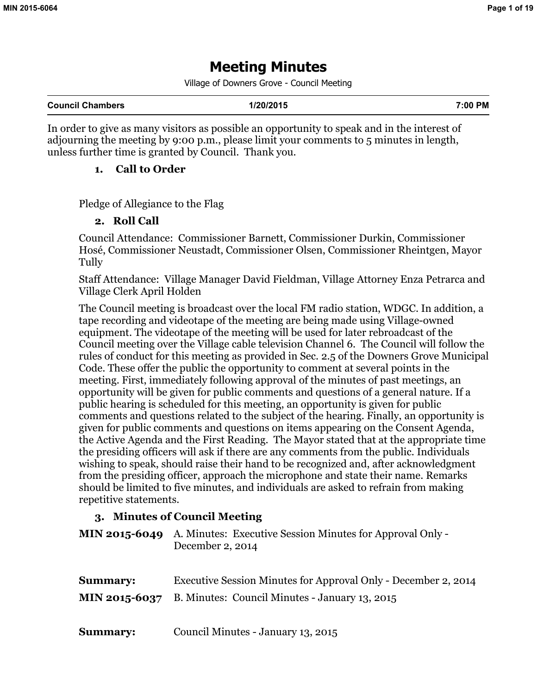# **Meeting Minutes**

Village of Downers Grove - Council Meeting

In order to give as many visitors as possible an opportunity to speak and in the interest of adjourning the meeting by 9:00 p.m., please limit your comments to 5 minutes in length, unless further time is granted by Council. Thank you.

### **1. Call to Order**

Pledge of Allegiance to the Flag

### **2. Roll Call**

Council Attendance: Commissioner Barnett, Commissioner Durkin, Commissioner Hosé, Commissioner Neustadt, Commissioner Olsen, Commissioner Rheintgen, Mayor Tully

Staff Attendance: Village Manager David Fieldman, Village Attorney Enza Petrarca and Village Clerk April Holden

The Council meeting is broadcast over the local FM radio station, WDGC. In addition, a tape recording and videotape of the meeting are being made using Village-owned equipment. The videotape of the meeting will be used for later rebroadcast of the Council meeting over the Village cable television Channel 6. The Council will follow the rules of conduct for this meeting as provided in Sec. 2.5 of the Downers Grove Municipal Code. These offer the public the opportunity to comment at several points in the meeting. First, immediately following approval of the minutes of past meetings, an opportunity will be given for public comments and questions of a general nature. If a public hearing is scheduled for this meeting, an opportunity is given for public comments and questions related to the subject of the hearing. Finally, an opportunity is given for public comments and questions on items appearing on the Consent Agenda, the Active Agenda and the First Reading. The Mayor stated that at the appropriate time the presiding officers will ask if there are any comments from the public. Individuals wishing to speak, should raise their hand to be recognized and, after acknowledgment from the presiding officer, approach the microphone and state their name. Remarks should be limited to five minutes, and individuals are asked to refrain from making repetitive statements.

### **3. Minutes of Council Meeting**

**MIN 2015-6049** A. Minutes: Executive Session Minutes for Approval Only - December 2, 2014

| <b>Summary:</b> | Executive Session Minutes for Approval Only - December 2, 2014                |
|-----------------|-------------------------------------------------------------------------------|
|                 | $\text{MIN } 2015\text{-}6037$ B. Minutes: Council Minutes - January 13, 2015 |
|                 |                                                                               |

**Summary:** Council Minutes - January 13, 2015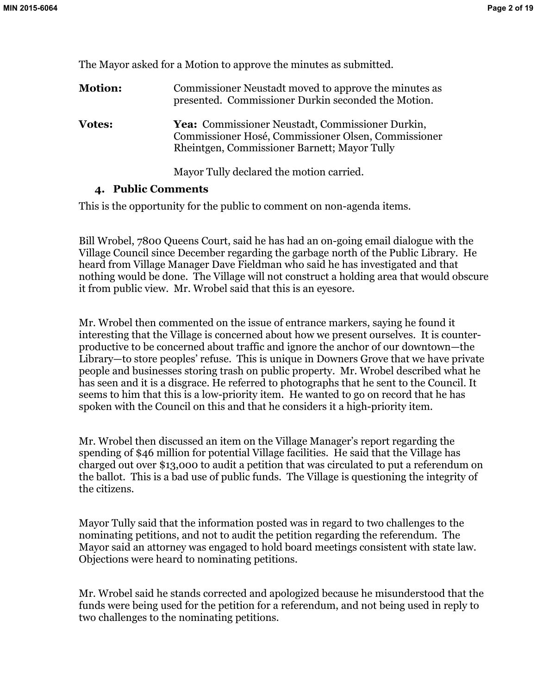The Mayor asked for a Motion to approve the minutes as submitted.

| <b>Motion:</b> | Commissioner Neustadt moved to approve the minutes as<br>presented. Commissioner Durkin seconded the Motion.                                            |
|----------------|---------------------------------------------------------------------------------------------------------------------------------------------------------|
| <b>Votes:</b>  | Yea: Commissioner Neustadt, Commissioner Durkin,<br>Commissioner Hosé, Commissioner Olsen, Commissioner<br>Rheintgen, Commissioner Barnett; Mayor Tully |
|                | Mayor Tully declared the motion carried.                                                                                                                |

### **4. Public Comments**

This is the opportunity for the public to comment on non-agenda items.

Bill Wrobel, 7800 Queens Court, said he has had an on-going email dialogue with the Village Council since December regarding the garbage north of the Public Library. He heard from Village Manager Dave Fieldman who said he has investigated and that nothing would be done. The Village will not construct a holding area that would obscure it from public view. Mr. Wrobel said that this is an eyesore.

Mr. Wrobel then commented on the issue of entrance markers, saying he found it interesting that the Village is concerned about how we present ourselves. It is counterproductive to be concerned about traffic and ignore the anchor of our downtown—the Library—to store peoples' refuse. This is unique in Downers Grove that we have private people and businesses storing trash on public property. Mr. Wrobel described what he has seen and it is a disgrace. He referred to photographs that he sent to the Council. It seems to him that this is a low-priority item. He wanted to go on record that he has spoken with the Council on this and that he considers it a high-priority item.

Mr. Wrobel then discussed an item on the Village Manager's report regarding the spending of \$46 million for potential Village facilities. He said that the Village has charged out over \$13,000 to audit a petition that was circulated to put a referendum on the ballot. This is a bad use of public funds. The Village is questioning the integrity of the citizens.

Mayor Tully said that the information posted was in regard to two challenges to the nominating petitions, and not to audit the petition regarding the referendum. The Mayor said an attorney was engaged to hold board meetings consistent with state law. Objections were heard to nominating petitions.

Mr. Wrobel said he stands corrected and apologized because he misunderstood that the funds were being used for the petition for a referendum, and not being used in reply to two challenges to the nominating petitions.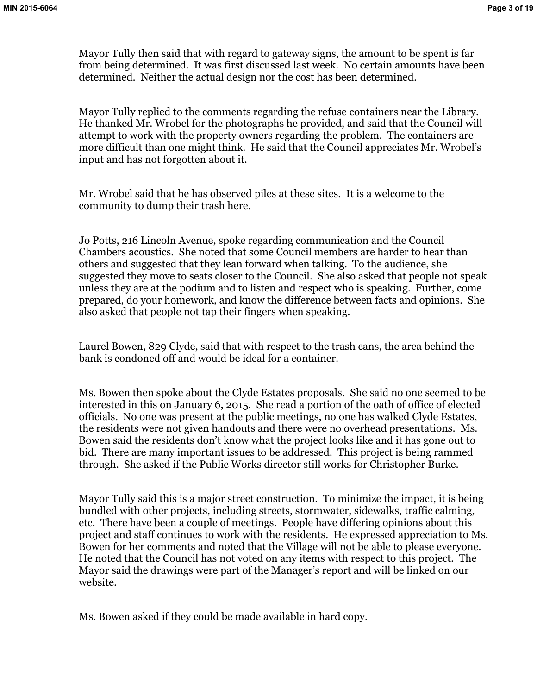Mayor Tully then said that with regard to gateway signs, the amount to be spent is far from being determined. It was first discussed last week. No certain amounts have been determined. Neither the actual design nor the cost has been determined.

Mayor Tully replied to the comments regarding the refuse containers near the Library. He thanked Mr. Wrobel for the photographs he provided, and said that the Council will attempt to work with the property owners regarding the problem. The containers are more difficult than one might think. He said that the Council appreciates Mr. Wrobel's input and has not forgotten about it.

Mr. Wrobel said that he has observed piles at these sites. It is a welcome to the community to dump their trash here.

Jo Potts, 216 Lincoln Avenue, spoke regarding communication and the Council Chambers acoustics. She noted that some Council members are harder to hear than others and suggested that they lean forward when talking. To the audience, she suggested they move to seats closer to the Council. She also asked that people not speak unless they are at the podium and to listen and respect who is speaking. Further, come prepared, do your homework, and know the difference between facts and opinions. She also asked that people not tap their fingers when speaking.

Laurel Bowen, 829 Clyde, said that with respect to the trash cans, the area behind the bank is condoned off and would be ideal for a container.

Ms. Bowen then spoke about the Clyde Estates proposals. She said no one seemed to be interested in this on January 6, 2015. She read a portion of the oath of office of elected officials. No one was present at the public meetings, no one has walked Clyde Estates, the residents were not given handouts and there were no overhead presentations. Ms. Bowen said the residents don't know what the project looks like and it has gone out to bid. There are many important issues to be addressed. This project is being rammed through. She asked if the Public Works director still works for Christopher Burke.

Mayor Tully said this is a major street construction. To minimize the impact, it is being bundled with other projects, including streets, stormwater, sidewalks, traffic calming, etc. There have been a couple of meetings. People have differing opinions about this project and staff continues to work with the residents. He expressed appreciation to Ms. Bowen for her comments and noted that the Village will not be able to please everyone. He noted that the Council has not voted on any items with respect to this project. The Mayor said the drawings were part of the Manager's report and will be linked on our website.

Ms. Bowen asked if they could be made available in hard copy.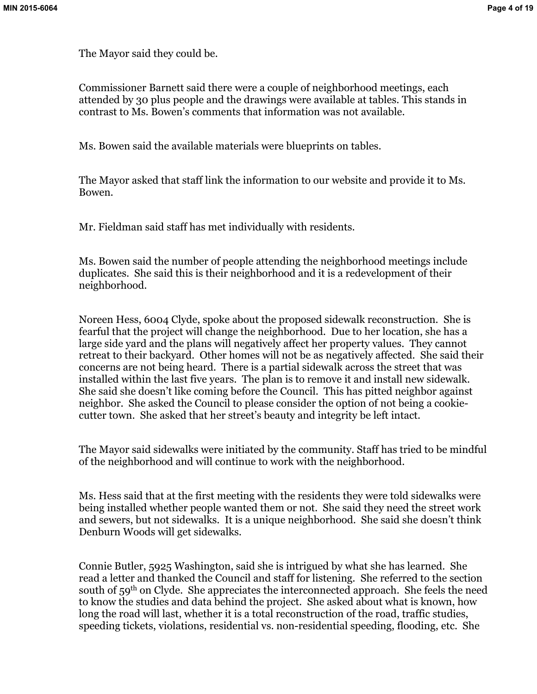The Mayor said they could be.

Commissioner Barnett said there were a couple of neighborhood meetings, each attended by 30 plus people and the drawings were available at tables. This stands in contrast to Ms. Bowen's comments that information was not available.

Ms. Bowen said the available materials were blueprints on tables.

The Mayor asked that staff link the information to our website and provide it to Ms. Bowen.

Mr. Fieldman said staff has met individually with residents.

Ms. Bowen said the number of people attending the neighborhood meetings include duplicates. She said this is their neighborhood and it is a redevelopment of their neighborhood.

Noreen Hess, 6004 Clyde, spoke about the proposed sidewalk reconstruction. She is fearful that the project will change the neighborhood. Due to her location, she has a large side yard and the plans will negatively affect her property values. They cannot retreat to their backyard. Other homes will not be as negatively affected. She said their concerns are not being heard. There is a partial sidewalk across the street that was installed within the last five years. The plan is to remove it and install new sidewalk. She said she doesn't like coming before the Council. This has pitted neighbor against neighbor. She asked the Council to please consider the option of not being a cookiecutter town. She asked that her street's beauty and integrity be left intact.

The Mayor said sidewalks were initiated by the community. Staff has tried to be mindful of the neighborhood and will continue to work with the neighborhood.

Ms. Hess said that at the first meeting with the residents they were told sidewalks were being installed whether people wanted them or not. She said they need the street work and sewers, but not sidewalks. It is a unique neighborhood. She said she doesn't think Denburn Woods will get sidewalks.

Connie Butler, 5925 Washington, said she is intrigued by what she has learned. She read a letter and thanked the Council and staff for listening. She referred to the section south of 59<sup>th</sup> on Clyde. She appreciates the interconnected approach. She feels the need to know the studies and data behind the project. She asked about what is known, how long the road will last, whether it is a total reconstruction of the road, traffic studies, speeding tickets, violations, residential vs. non-residential speeding, flooding, etc. She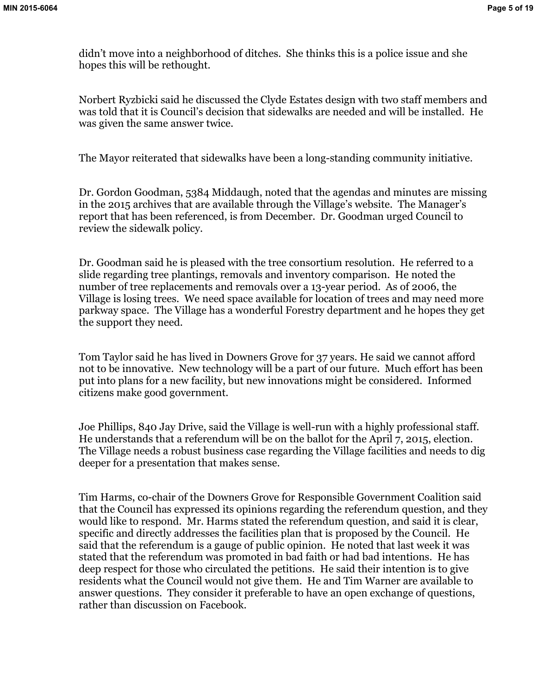didn't move into a neighborhood of ditches. She thinks this is a police issue and she hopes this will be rethought.

Norbert Ryzbicki said he discussed the Clyde Estates design with two staff members and was told that it is Council's decision that sidewalks are needed and will be installed. He was given the same answer twice.

The Mayor reiterated that sidewalks have been a long-standing community initiative.

Dr. Gordon Goodman, 5384 Middaugh, noted that the agendas and minutes are missing in the 2015 archives that are available through the Village's website. The Manager's report that has been referenced, is from December. Dr. Goodman urged Council to review the sidewalk policy.

Dr. Goodman said he is pleased with the tree consortium resolution. He referred to a slide regarding tree plantings, removals and inventory comparison. He noted the number of tree replacements and removals over a 13-year period. As of 2006, the Village is losing trees. We need space available for location of trees and may need more parkway space. The Village has a wonderful Forestry department and he hopes they get the support they need.

Tom Taylor said he has lived in Downers Grove for 37 years. He said we cannot afford not to be innovative. New technology will be a part of our future. Much effort has been put into plans for a new facility, but new innovations might be considered. Informed citizens make good government.

Joe Phillips, 840 Jay Drive, said the Village is well-run with a highly professional staff. He understands that a referendum will be on the ballot for the April 7, 2015, election. The Village needs a robust business case regarding the Village facilities and needs to dig deeper for a presentation that makes sense.

Tim Harms, co-chair of the Downers Grove for Responsible Government Coalition said that the Council has expressed its opinions regarding the referendum question, and they would like to respond. Mr. Harms stated the referendum question, and said it is clear, specific and directly addresses the facilities plan that is proposed by the Council. He said that the referendum is a gauge of public opinion. He noted that last week it was stated that the referendum was promoted in bad faith or had bad intentions. He has deep respect for those who circulated the petitions. He said their intention is to give residents what the Council would not give them. He and Tim Warner are available to answer questions. They consider it preferable to have an open exchange of questions, rather than discussion on Facebook.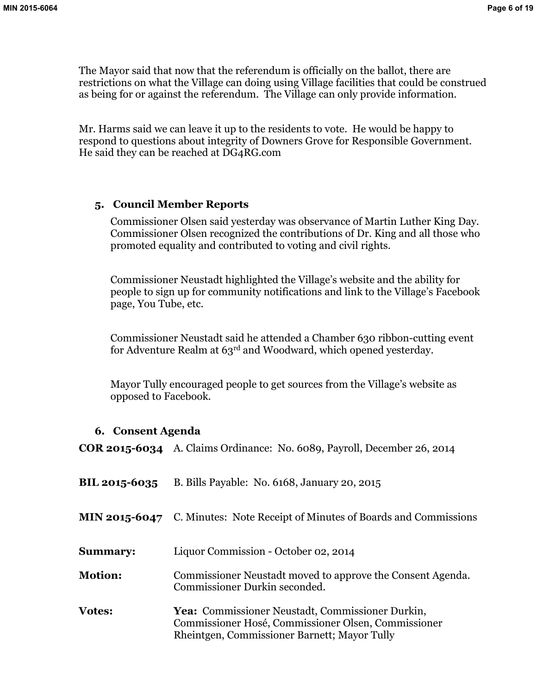The Mayor said that now that the referendum is officially on the ballot, there are restrictions on what the Village can doing using Village facilities that could be construed as being for or against the referendum. The Village can only provide information.

Mr. Harms said we can leave it up to the residents to vote. He would be happy to respond to questions about integrity of Downers Grove for Responsible Government. He said they can be reached at DG4RG.com

### **5. Council Member Reports**

Commissioner Olsen said yesterday was observance of Martin Luther King Day. Commissioner Olsen recognized the contributions of Dr. King and all those who promoted equality and contributed to voting and civil rights.

Commissioner Neustadt highlighted the Village's website and the ability for people to sign up for community notifications and link to the Village's Facebook page, You Tube, etc.

Commissioner Neustadt said he attended a Chamber 630 ribbon-cutting event for Adventure Realm at 63rd and Woodward, which opened yesterday.

Mayor Tully encouraged people to get sources from the Village's website as opposed to Facebook.

#### **6. Consent Agenda**

**COR 2015-6034** A. Claims Ordinance: No. 6089, Payroll, December 26, 2014

| <b>BIL 2015-6035</b> | B. Bills Payable: No. 6168, January 20, 2015                                                                                                            |
|----------------------|---------------------------------------------------------------------------------------------------------------------------------------------------------|
|                      | <b>MIN 2015-6047</b> C. Minutes: Note Receipt of Minutes of Boards and Commissions                                                                      |
| <b>Summary:</b>      | Liquor Commission - October 02, 2014                                                                                                                    |
| <b>Motion:</b>       | Commissioner Neustadt moved to approve the Consent Agenda.<br>Commissioner Durkin seconded.                                                             |
| <b>Votes:</b>        | Yea: Commissioner Neustadt, Commissioner Durkin,<br>Commissioner Hosé, Commissioner Olsen, Commissioner<br>Rheintgen, Commissioner Barnett; Mayor Tully |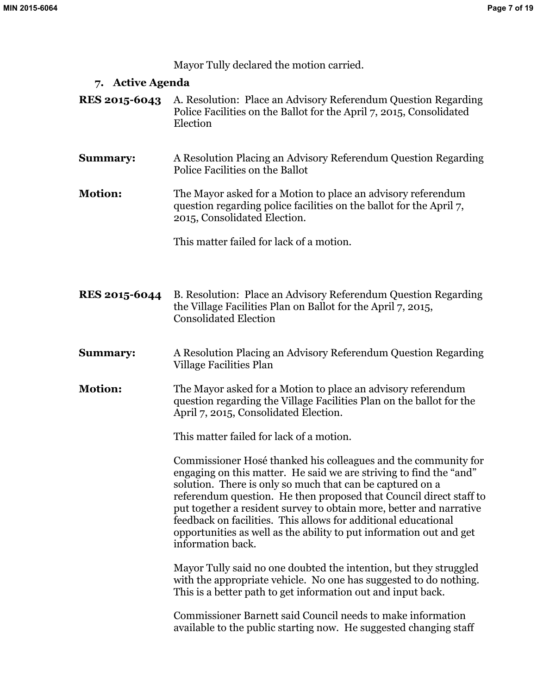Mayor Tully declared the motion carried.

### **7. Active Agenda**

- **RES 2015-6043** A. Resolution: Place an Advisory Referendum Question Regarding Police Facilities on the Ballot for the April 7, 2015, Consolidated Election
- **Summary:** A Resolution Placing an Advisory Referendum Question Regarding Police Facilities on the Ballot
- **Motion:** The Mayor asked for a Motion to place an advisory referendum question regarding police facilities on the ballot for the April 7, 2015, Consolidated Election.

This matter failed for lack of a motion.

- **RES 2015-6044** B. Resolution: Place an Advisory Referendum Question Regarding the Village Facilities Plan on Ballot for the April 7, 2015, Consolidated Election
- **Summary:** A Resolution Placing an Advisory Referendum Question Regarding Village Facilities Plan
- **Motion:** The Mayor asked for a Motion to place an advisory referendum question regarding the Village Facilities Plan on the ballot for the April 7, 2015, Consolidated Election.

This matter failed for lack of a motion.

Commissioner Hosé thanked his colleagues and the community for engaging on this matter. He said we are striving to find the "and" solution. There is only so much that can be captured on a referendum question. He then proposed that Council direct staff to put together a resident survey to obtain more, better and narrative feedback on facilities. This allows for additional educational opportunities as well as the ability to put information out and get information back.

Mayor Tully said no one doubted the intention, but they struggled with the appropriate vehicle. No one has suggested to do nothing. This is a better path to get information out and input back.

Commissioner Barnett said Council needs to make information available to the public starting now. He suggested changing staff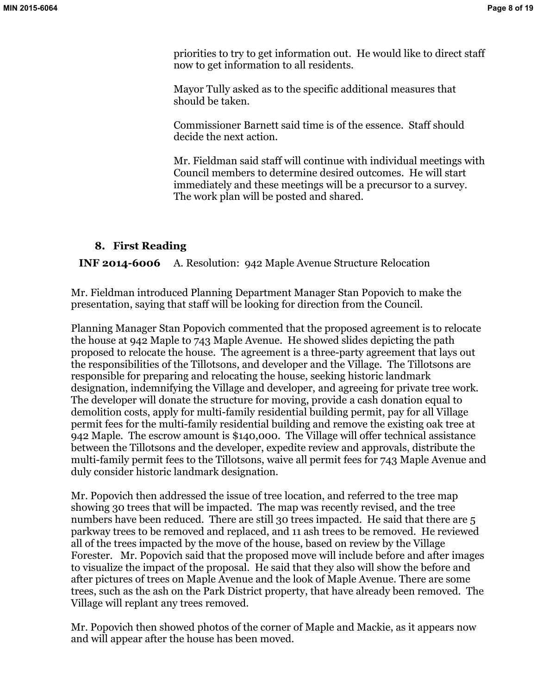priorities to try to get information out. He would like to direct staff now to get information to all residents.

Mayor Tully asked as to the specific additional measures that should be taken.

Commissioner Barnett said time is of the essence. Staff should decide the next action.

Mr. Fieldman said staff will continue with individual meetings with Council members to determine desired outcomes. He will start immediately and these meetings will be a precursor to a survey. The work plan will be posted and shared.

# **8. First Reading**

# **INF 2014-6006** A. Resolution: 942 Maple Avenue Structure Relocation

Mr. Fieldman introduced Planning Department Manager Stan Popovich to make the presentation, saying that staff will be looking for direction from the Council.

Planning Manager Stan Popovich commented that the proposed agreement is to relocate the house at 942 Maple to 743 Maple Avenue. He showed slides depicting the path proposed to relocate the house. The agreement is a three-party agreement that lays out the responsibilities of the Tillotsons, and developer and the Village. The Tillotsons are responsible for preparing and relocating the house, seeking historic landmark designation, indemnifying the Village and developer, and agreeing for private tree work. The developer will donate the structure for moving, provide a cash donation equal to demolition costs, apply for multi-family residential building permit, pay for all Village permit fees for the multi-family residential building and remove the existing oak tree at 942 Maple. The escrow amount is \$140,000. The Village will offer technical assistance between the Tillotsons and the developer, expedite review and approvals, distribute the multi-family permit fees to the Tillotsons, waive all permit fees for 743 Maple Avenue and duly consider historic landmark designation.

Mr. Popovich then addressed the issue of tree location, and referred to the tree map showing 30 trees that will be impacted. The map was recently revised, and the tree numbers have been reduced. There are still 30 trees impacted. He said that there are 5 parkway trees to be removed and replaced, and 11 ash trees to be removed. He reviewed all of the trees impacted by the move of the house, based on review by the Village Forester. Mr. Popovich said that the proposed move will include before and after images to visualize the impact of the proposal. He said that they also will show the before and after pictures of trees on Maple Avenue and the look of Maple Avenue. There are some trees, such as the ash on the Park District property, that have already been removed. The Village will replant any trees removed.

Mr. Popovich then showed photos of the corner of Maple and Mackie, as it appears now and will appear after the house has been moved.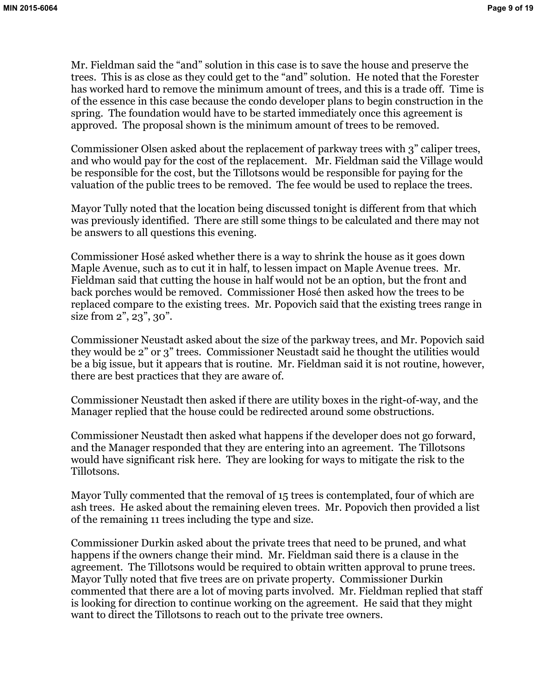Mr. Fieldman said the "and" solution in this case is to save the house and preserve the trees. This is as close as they could get to the "and" solution. He noted that the Forester has worked hard to remove the minimum amount of trees, and this is a trade off. Time is of the essence in this case because the condo developer plans to begin construction in the spring. The foundation would have to be started immediately once this agreement is approved. The proposal shown is the minimum amount of trees to be removed.

Commissioner Olsen asked about the replacement of parkway trees with 3" caliper trees, and who would pay for the cost of the replacement. Mr. Fieldman said the Village would be responsible for the cost, but the Tillotsons would be responsible for paying for the valuation of the public trees to be removed. The fee would be used to replace the trees.

Mayor Tully noted that the location being discussed tonight is different from that which was previously identified. There are still some things to be calculated and there may not be answers to all questions this evening.

Commissioner Hosé asked whether there is a way to shrink the house as it goes down Maple Avenue, such as to cut it in half, to lessen impact on Maple Avenue trees. Mr. Fieldman said that cutting the house in half would not be an option, but the front and back porches would be removed. Commissioner Hosé then asked how the trees to be replaced compare to the existing trees. Mr. Popovich said that the existing trees range in size from 2", 23", 30".

Commissioner Neustadt asked about the size of the parkway trees, and Mr. Popovich said they would be 2" or 3" trees. Commissioner Neustadt said he thought the utilities would be a big issue, but it appears that is routine. Mr. Fieldman said it is not routine, however, there are best practices that they are aware of.

Commissioner Neustadt then asked if there are utility boxes in the right-of-way, and the Manager replied that the house could be redirected around some obstructions.

Commissioner Neustadt then asked what happens if the developer does not go forward, and the Manager responded that they are entering into an agreement. The Tillotsons would have significant risk here. They are looking for ways to mitigate the risk to the Tillotsons.

Mayor Tully commented that the removal of 15 trees is contemplated, four of which are ash trees. He asked about the remaining eleven trees. Mr. Popovich then provided a list of the remaining 11 trees including the type and size.

Commissioner Durkin asked about the private trees that need to be pruned, and what happens if the owners change their mind. Mr. Fieldman said there is a clause in the agreement. The Tillotsons would be required to obtain written approval to prune trees. Mayor Tully noted that five trees are on private property. Commissioner Durkin commented that there are a lot of moving parts involved. Mr. Fieldman replied that staff is looking for direction to continue working on the agreement. He said that they might want to direct the Tillotsons to reach out to the private tree owners.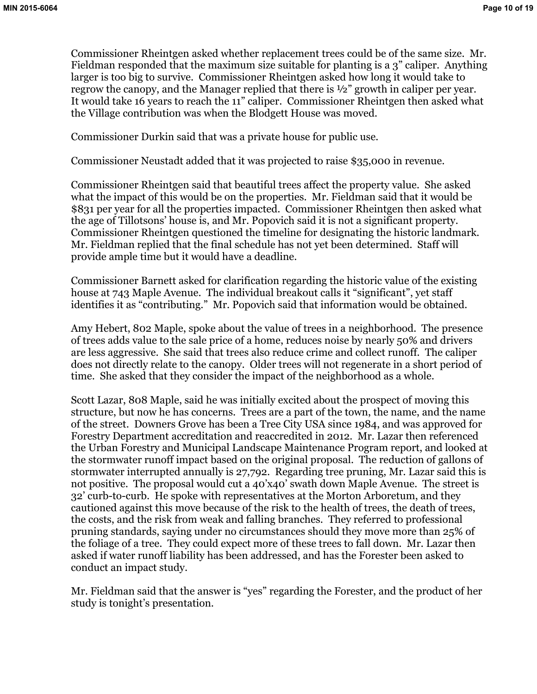Commissioner Rheintgen asked whether replacement trees could be of the same size. Mr. Fieldman responded that the maximum size suitable for planting is a 3" caliper. Anything larger is too big to survive. Commissioner Rheintgen asked how long it would take to regrow the canopy, and the Manager replied that there is ½" growth in caliper per year. It would take 16 years to reach the 11" caliper. Commissioner Rheintgen then asked what the Village contribution was when the Blodgett House was moved.

Commissioner Durkin said that was a private house for public use.

Commissioner Neustadt added that it was projected to raise \$35,000 in revenue.

Commissioner Rheintgen said that beautiful trees affect the property value. She asked what the impact of this would be on the properties. Mr. Fieldman said that it would be \$831 per year for all the properties impacted. Commissioner Rheintgen then asked what the age of Tillotsons' house is, and Mr. Popovich said it is not a significant property. Commissioner Rheintgen questioned the timeline for designating the historic landmark. Mr. Fieldman replied that the final schedule has not yet been determined. Staff will provide ample time but it would have a deadline.

Commissioner Barnett asked for clarification regarding the historic value of the existing house at 743 Maple Avenue. The individual breakout calls it "significant", yet staff identifies it as "contributing." Mr. Popovich said that information would be obtained.

Amy Hebert, 802 Maple, spoke about the value of trees in a neighborhood. The presence of trees adds value to the sale price of a home, reduces noise by nearly 50% and drivers are less aggressive. She said that trees also reduce crime and collect runoff. The caliper does not directly relate to the canopy. Older trees will not regenerate in a short period of time. She asked that they consider the impact of the neighborhood as a whole.

Scott Lazar, 808 Maple, said he was initially excited about the prospect of moving this structure, but now he has concerns. Trees are a part of the town, the name, and the name of the street. Downers Grove has been a Tree City USA since 1984, and was approved for Forestry Department accreditation and reaccredited in 2012. Mr. Lazar then referenced the Urban Forestry and Municipal Landscape Maintenance Program report, and looked at the stormwater runoff impact based on the original proposal. The reduction of gallons of stormwater interrupted annually is 27,792. Regarding tree pruning, Mr. Lazar said this is not positive. The proposal would cut a 40'x40' swath down Maple Avenue. The street is 32' curb-to-curb. He spoke with representatives at the Morton Arboretum, and they cautioned against this move because of the risk to the health of trees, the death of trees, the costs, and the risk from weak and falling branches. They referred to professional pruning standards, saying under no circumstances should they move more than 25% of the foliage of a tree. They could expect more of these trees to fall down. Mr. Lazar then asked if water runoff liability has been addressed, and has the Forester been asked to conduct an impact study.

Mr. Fieldman said that the answer is "yes" regarding the Forester, and the product of her study is tonight's presentation.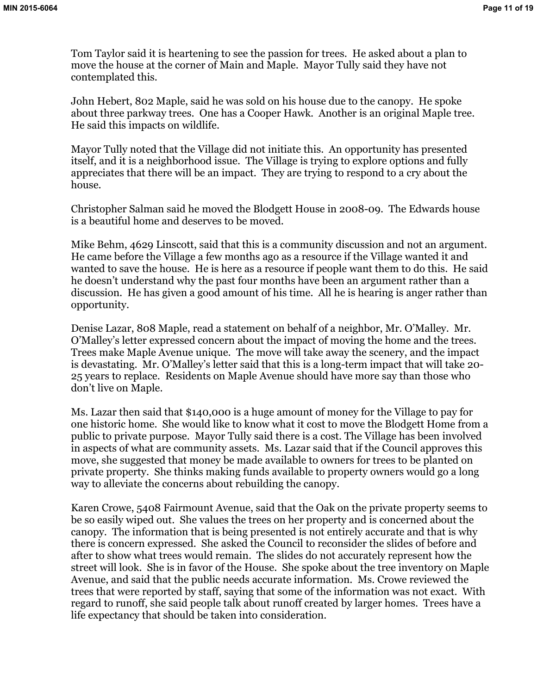Tom Taylor said it is heartening to see the passion for trees. He asked about a plan to move the house at the corner of Main and Maple. Mayor Tully said they have not contemplated this.

John Hebert, 802 Maple, said he was sold on his house due to the canopy. He spoke about three parkway trees. One has a Cooper Hawk. Another is an original Maple tree. He said this impacts on wildlife.

Mayor Tully noted that the Village did not initiate this. An opportunity has presented itself, and it is a neighborhood issue. The Village is trying to explore options and fully appreciates that there will be an impact. They are trying to respond to a cry about the house.

Christopher Salman said he moved the Blodgett House in 2008-09. The Edwards house is a beautiful home and deserves to be moved.

Mike Behm, 4629 Linscott, said that this is a community discussion and not an argument. He came before the Village a few months ago as a resource if the Village wanted it and wanted to save the house. He is here as a resource if people want them to do this. He said he doesn't understand why the past four months have been an argument rather than a discussion. He has given a good amount of his time. All he is hearing is anger rather than opportunity.

Denise Lazar, 808 Maple, read a statement on behalf of a neighbor, Mr. O'Malley. Mr. O'Malley's letter expressed concern about the impact of moving the home and the trees. Trees make Maple Avenue unique. The move will take away the scenery, and the impact is devastating. Mr. O'Malley's letter said that this is a long-term impact that will take 20- 25 years to replace. Residents on Maple Avenue should have more say than those who don't live on Maple.

Ms. Lazar then said that \$140,000 is a huge amount of money for the Village to pay for one historic home. She would like to know what it cost to move the Blodgett Home from a public to private purpose. Mayor Tully said there is a cost. The Village has been involved in aspects of what are community assets. Ms. Lazar said that if the Council approves this move, she suggested that money be made available to owners for trees to be planted on private property. She thinks making funds available to property owners would go a long way to alleviate the concerns about rebuilding the canopy.

Karen Crowe, 5408 Fairmount Avenue, said that the Oak on the private property seems to be so easily wiped out. She values the trees on her property and is concerned about the canopy. The information that is being presented is not entirely accurate and that is why there is concern expressed. She asked the Council to reconsider the slides of before and after to show what trees would remain. The slides do not accurately represent how the street will look. She is in favor of the House. She spoke about the tree inventory on Maple Avenue, and said that the public needs accurate information. Ms. Crowe reviewed the trees that were reported by staff, saying that some of the information was not exact. With regard to runoff, she said people talk about runoff created by larger homes. Trees have a life expectancy that should be taken into consideration.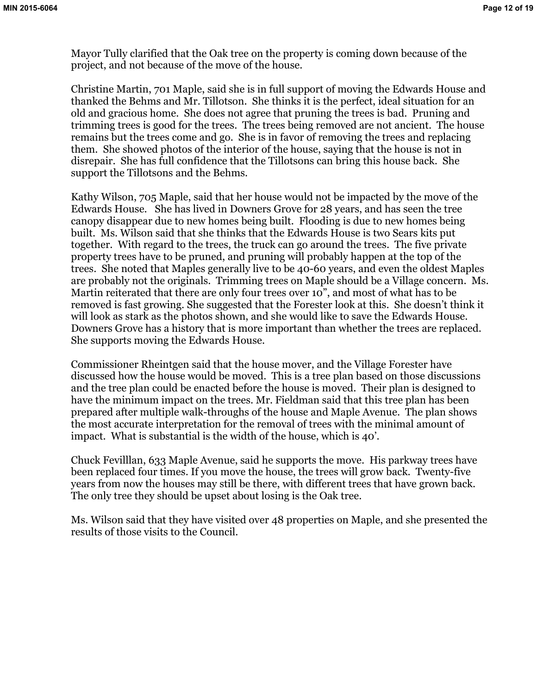Mayor Tully clarified that the Oak tree on the property is coming down because of the project, and not because of the move of the house.

Christine Martin, 701 Maple, said she is in full support of moving the Edwards House and thanked the Behms and Mr. Tillotson. She thinks it is the perfect, ideal situation for an old and gracious home. She does not agree that pruning the trees is bad. Pruning and trimming trees is good for the trees. The trees being removed are not ancient. The house remains but the trees come and go. She is in favor of removing the trees and replacing them. She showed photos of the interior of the house, saying that the house is not in disrepair. She has full confidence that the Tillotsons can bring this house back. She support the Tillotsons and the Behms.

Kathy Wilson, 705 Maple, said that her house would not be impacted by the move of the Edwards House. She has lived in Downers Grove for 28 years, and has seen the tree canopy disappear due to new homes being built. Flooding is due to new homes being built. Ms. Wilson said that she thinks that the Edwards House is two Sears kits put together. With regard to the trees, the truck can go around the trees. The five private property trees have to be pruned, and pruning will probably happen at the top of the trees. She noted that Maples generally live to be 40-60 years, and even the oldest Maples are probably not the originals. Trimming trees on Maple should be a Village concern. Ms. Martin reiterated that there are only four trees over 10", and most of what has to be removed is fast growing. She suggested that the Forester look at this. She doesn't think it will look as stark as the photos shown, and she would like to save the Edwards House. Downers Grove has a history that is more important than whether the trees are replaced. She supports moving the Edwards House.

Commissioner Rheintgen said that the house mover, and the Village Forester have discussed how the house would be moved. This is a tree plan based on those discussions and the tree plan could be enacted before the house is moved. Their plan is designed to have the minimum impact on the trees. Mr. Fieldman said that this tree plan has been prepared after multiple walk-throughs of the house and Maple Avenue. The plan shows the most accurate interpretation for the removal of trees with the minimal amount of impact. What is substantial is the width of the house, which is 40'.

Chuck Fevilllan, 633 Maple Avenue, said he supports the move. His parkway trees have been replaced four times. If you move the house, the trees will grow back. Twenty-five years from now the houses may still be there, with different trees that have grown back. The only tree they should be upset about losing is the Oak tree.

Ms. Wilson said that they have visited over 48 properties on Maple, and she presented the results of those visits to the Council.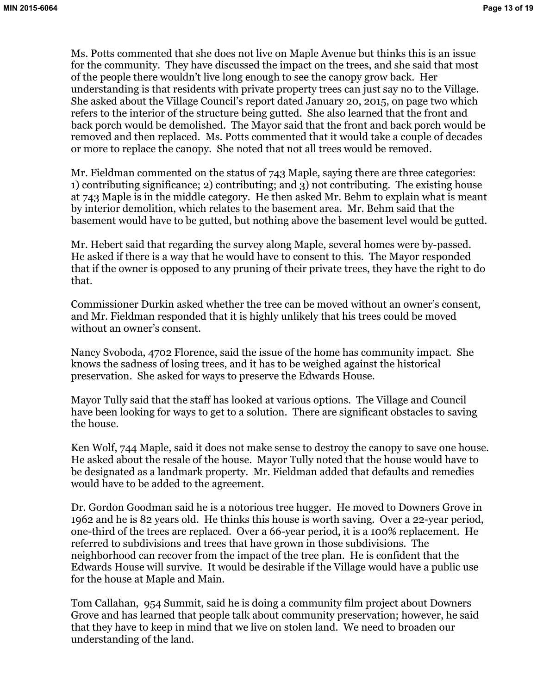Ms. Potts commented that she does not live on Maple Avenue but thinks this is an issue for the community. They have discussed the impact on the trees, and she said that most of the people there wouldn't live long enough to see the canopy grow back. Her understanding is that residents with private property trees can just say no to the Village. She asked about the Village Council's report dated January 20, 2015, on page two which refers to the interior of the structure being gutted. She also learned that the front and back porch would be demolished. The Mayor said that the front and back porch would be removed and then replaced. Ms. Potts commented that it would take a couple of decades or more to replace the canopy. She noted that not all trees would be removed.

Mr. Fieldman commented on the status of 743 Maple, saying there are three categories: 1) contributing significance; 2) contributing; and 3) not contributing. The existing house at 743 Maple is in the middle category. He then asked Mr. Behm to explain what is meant by interior demolition, which relates to the basement area. Mr. Behm said that the basement would have to be gutted, but nothing above the basement level would be gutted.

Mr. Hebert said that regarding the survey along Maple, several homes were by-passed. He asked if there is a way that he would have to consent to this. The Mayor responded that if the owner is opposed to any pruning of their private trees, they have the right to do that.

Commissioner Durkin asked whether the tree can be moved without an owner's consent, and Mr. Fieldman responded that it is highly unlikely that his trees could be moved without an owner's consent.

Nancy Svoboda, 4702 Florence, said the issue of the home has community impact. She knows the sadness of losing trees, and it has to be weighed against the historical preservation. She asked for ways to preserve the Edwards House.

Mayor Tully said that the staff has looked at various options. The Village and Council have been looking for ways to get to a solution. There are significant obstacles to saving the house.

Ken Wolf, 744 Maple, said it does not make sense to destroy the canopy to save one house. He asked about the resale of the house. Mayor Tully noted that the house would have to be designated as a landmark property. Mr. Fieldman added that defaults and remedies would have to be added to the agreement.

Dr. Gordon Goodman said he is a notorious tree hugger. He moved to Downers Grove in 1962 and he is 82 years old. He thinks this house is worth saving. Over a 22-year period, one-third of the trees are replaced. Over a 66-year period, it is a 100% replacement. He referred to subdivisions and trees that have grown in those subdivisions. The neighborhood can recover from the impact of the tree plan. He is confident that the Edwards House will survive. It would be desirable if the Village would have a public use for the house at Maple and Main.

Tom Callahan, 954 Summit, said he is doing a community film project about Downers Grove and has learned that people talk about community preservation; however, he said that they have to keep in mind that we live on stolen land. We need to broaden our understanding of the land.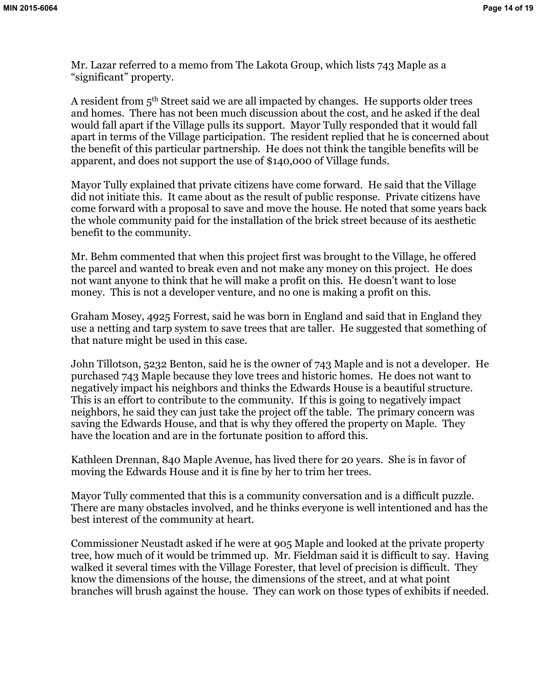Mr. Lazar referred to a memo from The Lakota Group, which lists 743 Maple as a "significant" property.

A resident from 5<sup>th</sup> Street said we are all impacted by changes. He supports older trees and homes. There has not been much discussion about the cost, and he asked if the deal would fall apart if the Village pulls its support. Mayor Tully responded that it would fall apart in terms of the Village participation. The resident replied that he is concerned about the benefit of this particular partnership. He does not think the tangible benefits will be apparent, and does not support the use of \$140,000 of Village funds.

Mayor Tully explained that private citizens have come forward. He said that the Village did not initiate this. It came about as the result of public response. Private citizens have come forward with a proposal to save and move the house. He noted that some years back the whole community paid for the installation of the brick street because of its aesthetic benefit to the community.

Mr. Behm commented that when this project first was brought to the Village, he offered the parcel and wanted to break even and not make any money on this project. He does not want anyone to think that he will make a profit on this. He doesn't want to lose money. This is not a developer venture, and no one is making a profit on this.

Graham Mosey, 4925 Forrest, said he was born in England and said that in England they use a netting and tarp system to save trees that are taller. He suggested that something of that nature might be used in this case.

John Tillotson, 5232 Benton, said he is the owner of 743 Maple and is not a developer. He purchased 743 Maple because they love trees and historic homes. He does not want to negatively impact his neighbors and thinks the Edwards House is a beautiful structure. This is an effort to contribute to the community. If this is going to negatively impact neighbors, he said they can just take the project off the table. The primary concern was saving the Edwards House, and that is why they offered the property on Maple. They have the location and are in the fortunate position to afford this.

Kathleen Drennan, 840 Maple Avenue, has lived there for 20 years. She is in favor of moving the Edwards House and it is fine by her to trim her trees.

Mayor Tully commented that this is a community conversation and is a difficult puzzle. There are many obstacles involved, and he thinks everyone is well intentioned and has the best interest of the community at heart.

Commissioner Neustadt asked if he were at 905 Maple and looked at the private property tree, how much of it would be trimmed up. Mr. Fieldman said it is difficult to say. Having walked it several times with the Village Forester, that level of precision is difficult. They know the dimensions of the house, the dimensions of the street, and at what point branches will brush against the house. They can work on those types of exhibits if needed.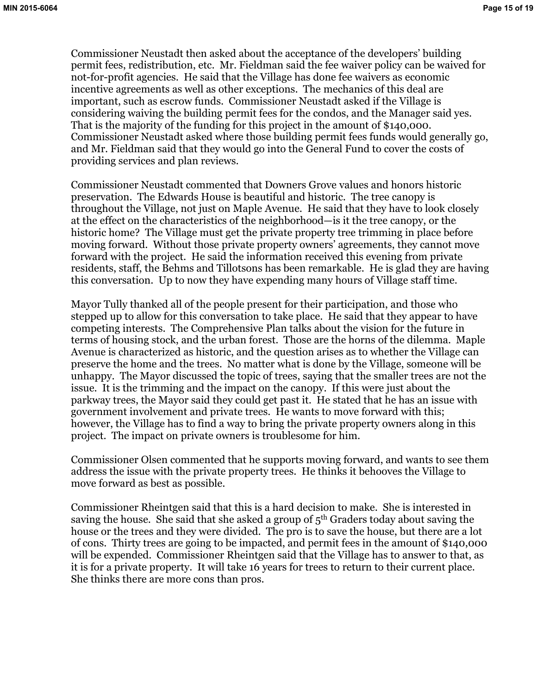Commissioner Neustadt then asked about the acceptance of the developers' building permit fees, redistribution, etc. Mr. Fieldman said the fee waiver policy can be waived for not-for-profit agencies. He said that the Village has done fee waivers as economic incentive agreements as well as other exceptions. The mechanics of this deal are important, such as escrow funds. Commissioner Neustadt asked if the Village is considering waiving the building permit fees for the condos, and the Manager said yes. That is the majority of the funding for this project in the amount of \$140,000. Commissioner Neustadt asked where those building permit fees funds would generally go, and Mr. Fieldman said that they would go into the General Fund to cover the costs of providing services and plan reviews.

Commissioner Neustadt commented that Downers Grove values and honors historic preservation. The Edwards House is beautiful and historic. The tree canopy is throughout the Village, not just on Maple Avenue. He said that they have to look closely at the effect on the characteristics of the neighborhood—is it the tree canopy, or the historic home? The Village must get the private property tree trimming in place before moving forward. Without those private property owners' agreements, they cannot move forward with the project. He said the information received this evening from private residents, staff, the Behms and Tillotsons has been remarkable. He is glad they are having this conversation. Up to now they have expending many hours of Village staff time.

Mayor Tully thanked all of the people present for their participation, and those who stepped up to allow for this conversation to take place. He said that they appear to have competing interests. The Comprehensive Plan talks about the vision for the future in terms of housing stock, and the urban forest. Those are the horns of the dilemma. Maple Avenue is characterized as historic, and the question arises as to whether the Village can preserve the home and the trees. No matter what is done by the Village, someone will be unhappy. The Mayor discussed the topic of trees, saying that the smaller trees are not the issue. It is the trimming and the impact on the canopy. If this were just about the parkway trees, the Mayor said they could get past it. He stated that he has an issue with government involvement and private trees. He wants to move forward with this; however, the Village has to find a way to bring the private property owners along in this project. The impact on private owners is troublesome for him.

Commissioner Olsen commented that he supports moving forward, and wants to see them address the issue with the private property trees. He thinks it behooves the Village to move forward as best as possible.

Commissioner Rheintgen said that this is a hard decision to make. She is interested in saving the house. She said that she asked a group of  $5<sup>th</sup>$  Graders today about saving the house or the trees and they were divided. The pro is to save the house, but there are a lot of cons. Thirty trees are going to be impacted, and permit fees in the amount of \$140,000 will be expended. Commissioner Rheintgen said that the Village has to answer to that, as it is for a private property. It will take 16 years for trees to return to their current place. She thinks there are more cons than pros.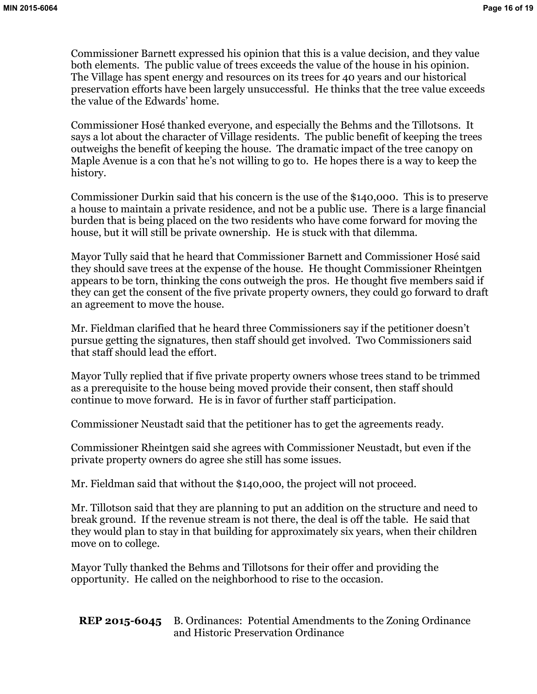Commissioner Barnett expressed his opinion that this is a value decision, and they value both elements. The public value of trees exceeds the value of the house in his opinion. The Village has spent energy and resources on its trees for 40 years and our historical preservation efforts have been largely unsuccessful. He thinks that the tree value exceeds the value of the Edwards' home.

Commissioner Hosé thanked everyone, and especially the Behms and the Tillotsons. It says a lot about the character of Village residents. The public benefit of keeping the trees outweighs the benefit of keeping the house. The dramatic impact of the tree canopy on Maple Avenue is a con that he's not willing to go to. He hopes there is a way to keep the history.

Commissioner Durkin said that his concern is the use of the \$140,000. This is to preserve a house to maintain a private residence, and not be a public use. There is a large financial burden that is being placed on the two residents who have come forward for moving the house, but it will still be private ownership. He is stuck with that dilemma.

Mayor Tully said that he heard that Commissioner Barnett and Commissioner Hosé said they should save trees at the expense of the house. He thought Commissioner Rheintgen appears to be torn, thinking the cons outweigh the pros. He thought five members said if they can get the consent of the five private property owners, they could go forward to draft an agreement to move the house.

Mr. Fieldman clarified that he heard three Commissioners say if the petitioner doesn't pursue getting the signatures, then staff should get involved. Two Commissioners said that staff should lead the effort.

Mayor Tully replied that if five private property owners whose trees stand to be trimmed as a prerequisite to the house being moved provide their consent, then staff should continue to move forward. He is in favor of further staff participation.

Commissioner Neustadt said that the petitioner has to get the agreements ready.

Commissioner Rheintgen said she agrees with Commissioner Neustadt, but even if the private property owners do agree she still has some issues.

Mr. Fieldman said that without the \$140,000, the project will not proceed.

Mr. Tillotson said that they are planning to put an addition on the structure and need to break ground. If the revenue stream is not there, the deal is off the table. He said that they would plan to stay in that building for approximately six years, when their children move on to college.

Mayor Tully thanked the Behms and Tillotsons for their offer and providing the opportunity. He called on the neighborhood to rise to the occasion.

**REP 2015-6045** B. Ordinances: Potential Amendments to the Zoning Ordinance and Historic Preservation Ordinance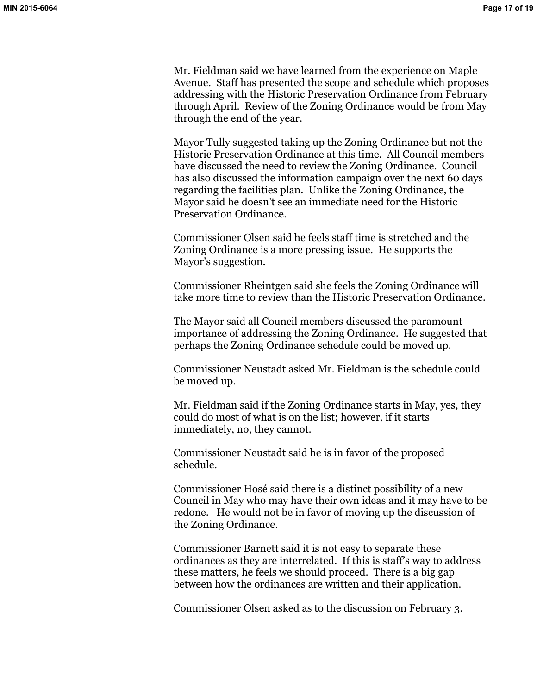Mr. Fieldman said we have learned from the experience on Maple Avenue. Staff has presented the scope and schedule which proposes addressing with the Historic Preservation Ordinance from February through April. Review of the Zoning Ordinance would be from May through the end of the year.

Mayor Tully suggested taking up the Zoning Ordinance but not the Historic Preservation Ordinance at this time. All Council members have discussed the need to review the Zoning Ordinance. Council has also discussed the information campaign over the next 60 days regarding the facilities plan. Unlike the Zoning Ordinance, the Mayor said he doesn't see an immediate need for the Historic Preservation Ordinance.

Commissioner Olsen said he feels staff time is stretched and the Zoning Ordinance is a more pressing issue. He supports the Mayor's suggestion.

Commissioner Rheintgen said she feels the Zoning Ordinance will take more time to review than the Historic Preservation Ordinance.

The Mayor said all Council members discussed the paramount importance of addressing the Zoning Ordinance. He suggested that perhaps the Zoning Ordinance schedule could be moved up.

Commissioner Neustadt asked Mr. Fieldman is the schedule could be moved up.

Mr. Fieldman said if the Zoning Ordinance starts in May, yes, they could do most of what is on the list; however, if it starts immediately, no, they cannot.

Commissioner Neustadt said he is in favor of the proposed schedule.

Commissioner Hosé said there is a distinct possibility of a new Council in May who may have their own ideas and it may have to be redone. He would not be in favor of moving up the discussion of the Zoning Ordinance.

Commissioner Barnett said it is not easy to separate these ordinances as they are interrelated. If this is staff's way to address these matters, he feels we should proceed. There is a big gap between how the ordinances are written and their application.

Commissioner Olsen asked as to the discussion on February 3.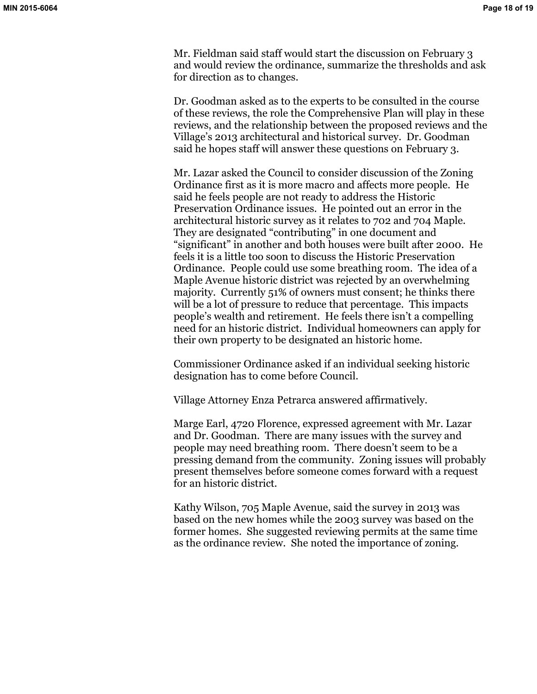Mr. Fieldman said staff would start the discussion on February 3 and would review the ordinance, summarize the thresholds and ask for direction as to changes.

Dr. Goodman asked as to the experts to be consulted in the course of these reviews, the role the Comprehensive Plan will play in these reviews, and the relationship between the proposed reviews and the Village's 2013 architectural and historical survey. Dr. Goodman said he hopes staff will answer these questions on February 3.

Mr. Lazar asked the Council to consider discussion of the Zoning Ordinance first as it is more macro and affects more people. He said he feels people are not ready to address the Historic Preservation Ordinance issues. He pointed out an error in the architectural historic survey as it relates to 702 and 704 Maple. They are designated "contributing" in one document and "significant" in another and both houses were built after 2000. He feels it is a little too soon to discuss the Historic Preservation Ordinance. People could use some breathing room. The idea of a Maple Avenue historic district was rejected by an overwhelming majority. Currently 51% of owners must consent; he thinks there will be a lot of pressure to reduce that percentage. This impacts people's wealth and retirement. He feels there isn't a compelling need for an historic district. Individual homeowners can apply for their own property to be designated an historic home.

Commissioner Ordinance asked if an individual seeking historic designation has to come before Council.

Village Attorney Enza Petrarca answered affirmatively.

Marge Earl, 4720 Florence, expressed agreement with Mr. Lazar and Dr. Goodman. There are many issues with the survey and people may need breathing room. There doesn't seem to be a pressing demand from the community. Zoning issues will probably present themselves before someone comes forward with a request for an historic district.

Kathy Wilson, 705 Maple Avenue, said the survey in 2013 was based on the new homes while the 2003 survey was based on the former homes. She suggested reviewing permits at the same time as the ordinance review. She noted the importance of zoning.